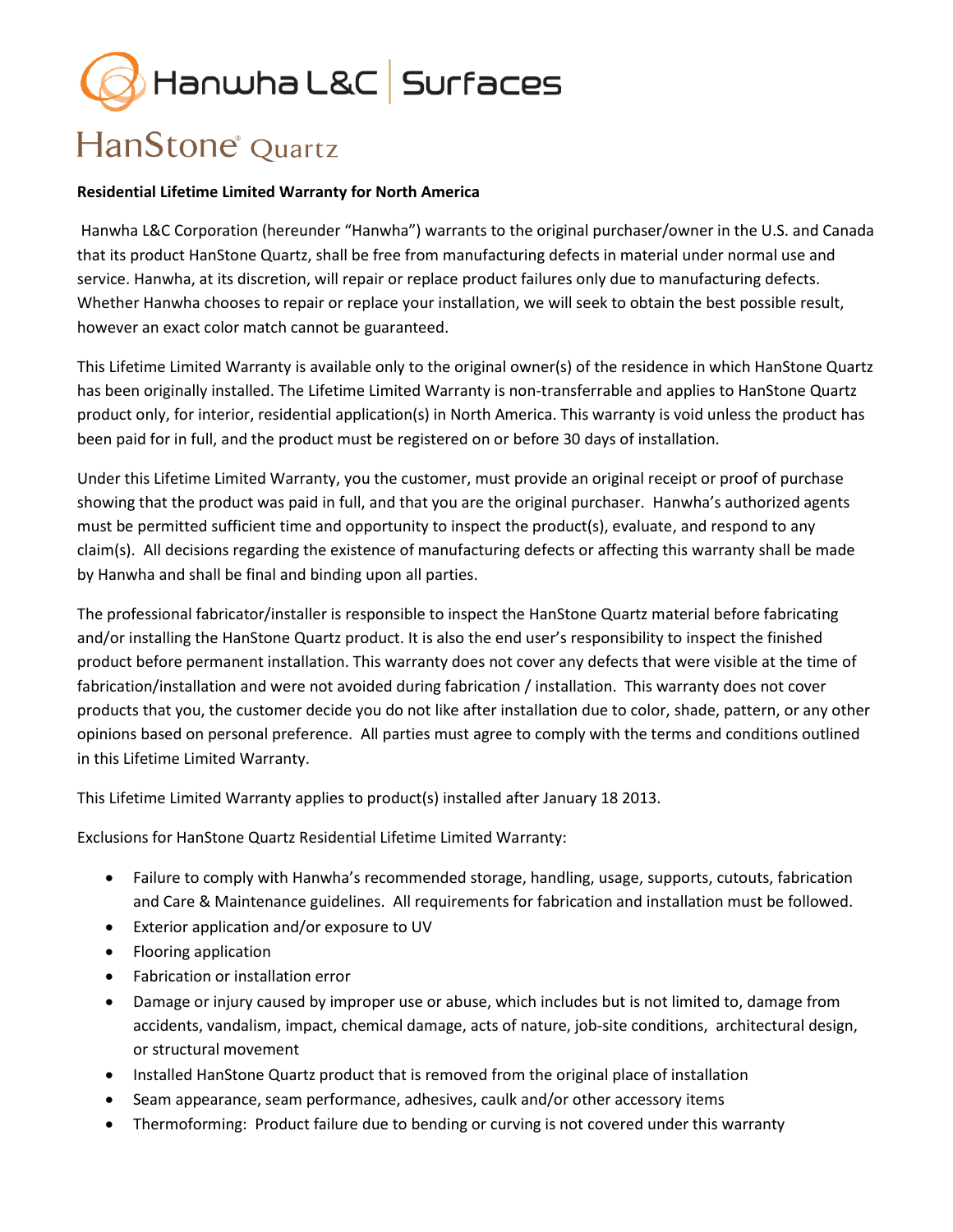## Hanwha L&C Surfaces

## HanStone<sup>®</sup> Quartz

## **Residential Lifetime Limited Warranty for North America**

Hanwha L&C Corporation (hereunder "Hanwha") warrants to the original purchaser/owner in the U.S. and Canada that its product HanStone Quartz, shall be free from manufacturing defects in material under normal use and service. Hanwha, at its discretion, will repair or replace product failures only due to manufacturing defects. Whether Hanwha chooses to repair or replace your installation, we will seek to obtain the best possible result, however an exact color match cannot be guaranteed.

This Lifetime Limited Warranty is available only to the original owner(s) of the residence in which HanStone Quartz has been originally installed. The Lifetime Limited Warranty is non-transferrable and applies to HanStone Quartz product only, for interior, residential application(s) in North America. This warranty is void unless the product has been paid for in full, and the product must be registered on or before 30 days of installation.

Under this Lifetime Limited Warranty, you the customer, must provide an original receipt or proof of purchase showing that the product was paid in full, and that you are the original purchaser. Hanwha's authorized agents must be permitted sufficient time and opportunity to inspect the product(s), evaluate, and respond to any claim(s). All decisions regarding the existence of manufacturing defects or affecting this warranty shall be made by Hanwha and shall be final and binding upon all parties.

The professional fabricator/installer is responsible to inspect the HanStone Quartz material before fabricating and/or installing the HanStone Quartz product. It is also the end user's responsibility to inspect the finished product before permanent installation. This warranty does not cover any defects that were visible at the time of fabrication/installation and were not avoided during fabrication / installation. This warranty does not cover products that you, the customer decide you do not like after installation due to color, shade, pattern, or any other opinions based on personal preference. All parties must agree to comply with the terms and conditions outlined in this Lifetime Limited Warranty.

This Lifetime Limited Warranty applies to product(s) installed after January 18 2013.

Exclusions for HanStone Quartz Residential Lifetime Limited Warranty:

- Failure to comply with Hanwha's recommended storage, handling, usage, supports, cutouts, fabrication and Care & Maintenance guidelines. All requirements for fabrication and installation must be followed.
- Exterior application and/or exposure to UV
- Flooring application
- Fabrication or installation error
- Damage or injury caused by improper use or abuse, which includes but is not limited to, damage from accidents, vandalism, impact, chemical damage, acts of nature, job-site conditions, architectural design, or structural movement
- Installed HanStone Quartz product that is removed from the original place of installation
- Seam appearance, seam performance, adhesives, caulk and/or other accessory items
- Thermoforming: Product failure due to bending or curving is not covered under this warranty